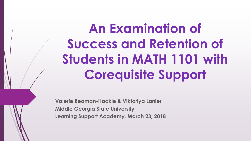# **An Examination of Success and Retention of Students in MATH 1101 with Corequisite Support**

**Valerie Beaman-Hackle & Viktoriya Lanier Middle Georgia State University Learning Support Academy, March 23, 2018**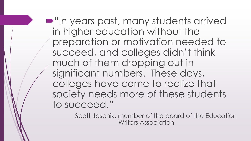$\blacksquare$  "In years past, many students arrived in higher education without the preparation or motivation needed to succeed, and colleges didn't think much of them dropping out in significant numbers. These days, colleges have come to realize that society needs more of these students to succeed."

> -Scott Jaschik, member of the board of the Education Writers Association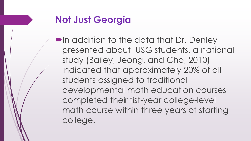# **Not Just Georgia**

**In addition to the data that Dr. Denley** presented about USG students, a national study (Bailey, Jeong, and Cho, 2010) indicated that approximately 20% of all students assigned to traditional developmental math education courses completed their fist-year college-level math course within three years of starting college.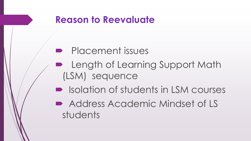#### **Reason to Reevaluate**

# **Placement issues**

- **Length of Learning Support Math** (LSM) sequence
- Isolation of students in LSM courses
- Address Academic Mindset of LS students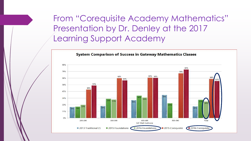From "Corequisite Academy Mathematics" Presentation by Dr. Denley at the 2017 Learning Support Academy

**System Comparison of Success in Gateway Mathematics Classes** 

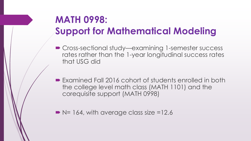# **MATH 0998: Support for Mathematical Modeling**

- Cross-sectional study—examining 1-semester success rates rather than the 1-year longitudinal success rates that USG did
- Examined Fall 2016 cohort of students enrolled in both the college level math class (MATH 1101) and the corequisite support (MATH 0998)
- $\blacktriangleright$  N= 164, with average class size =12.6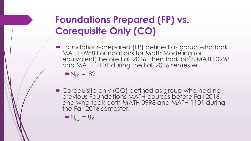# **Foundations Prepared (FP) vs. Corequisite Only (CO)**

**• Foundations-prepared (FP) defined as group who took** MATH 0988 Foundations for Math Modeling (or equivalent) before Fall 2016, then took both MATH 0998 and MATH 1101 during the Fall 2016 semester.

$$
N_{FP} = 82
$$

■ Corequisite only (CO) defined as group who had no previous Foundations MATH courses before Fall 2016, and who took both MATH 0998 and MATH 1101 during the Fall 2016 semester.

 $N_{co}$  = 82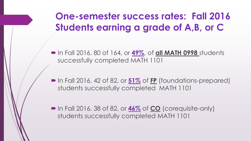# **One-semester success rates: Fall 2016 Students earning a grade of A,B, or C**

 In Fall 2016, 80 of 164, or **49%**, of **all MATH 0998** students successfully completed MATH 1101

■ In Fall 2016, 42 of 82, or **51%** of FP (foundations-prepared) students successfully completed MATH 1101

■ In Fall 2016, 38 of 82, or **46%** of CO (corequisite-only) students successfully completed MATH 1101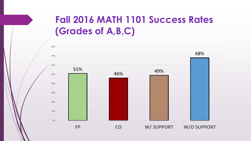# **Fall 2016 MATH 1101 Success Rates (Grades of A,B,C)**

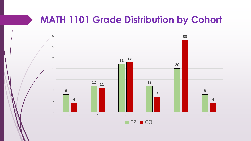## **MATH 1101 Grade Distribution by Cohort**



**OFP ■ CO**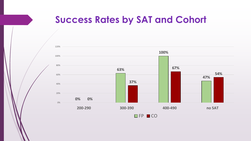#### **Success Rates by SAT and Cohort**

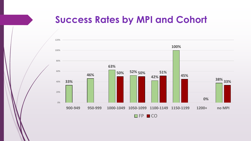#### **Success Rates by MPI and Cohort**

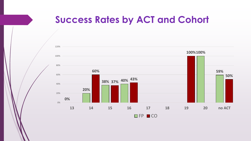#### **Success Rates by ACT and Cohort**

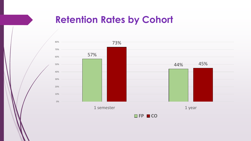## **Retention Rates by Cohort**

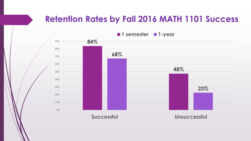#### **Retention Rates by Fall 2016 MATH 1101 Success**

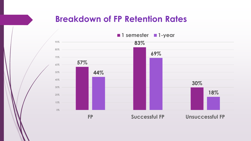#### **Breakdown of FP Retention Rates**

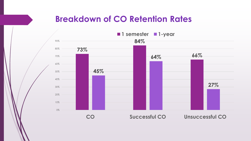#### **Breakdown of CO Retention Rates**

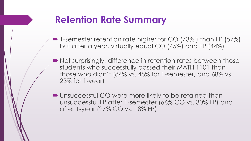## **Retention Rate Summary**

- 1-semester retention rate higher for CO (73%) than FP (57%) but after a year, virtually equal CO (45%) and FP (44%)
- Not surprisingly, difference in retention rates between those students who successfully passed their MATH 1101 than those who didn't (84% vs. 48% for 1-semester, and 68% vs. 23% for 1-year)
- Unsuccessful CO were more likely to be retained than unsuccessful FP after 1-semester (66% CO vs. 30% FP) and after 1-year (27% CO vs. 18% FP)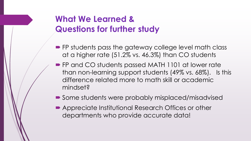#### **What We Learned & Questions for further study**

- **FP** students pass the gateway college level math class at a higher rate (51.2% vs. 46.3%) than CO students
- **FP and CO students passed MATH 1101 at lower rate** than non-learning support students (49% vs. 68%). Is this difference related more to math skill or academic mindset?
- Some students were probably misplaced/misadvised
- Appreciate Institutional Research Offices or other departments who provide accurate data!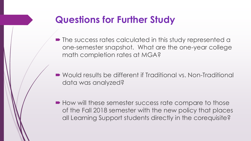## **Questions for Further Study**

- The success rates calculated in this study represented a one-semester snapshot. What are the one-year college math completion rates at MGA?
- Would results be different if Traditional vs. Non-Traditional data was analyzed?
- $\blacksquare$  How will these semester success rate compare to those of the Fall 2018 semester with the new policy that places all Learning Support students directly in the corequisite?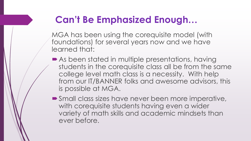# **Can't Be Emphasized Enough…**

MGA has been using the corequisite model (with foundations) for several years now and we have learned that:

- As been stated in multiple presentations, having students in the corequisite class all be from the same college level math class is a necessity. With help from our IT/BANNER folks and awesome advisors, this is possible at MGA.
- Small class sizes have never been more imperative, with corequisite students having even a wider variety of math skills and academic mindsets than ever before.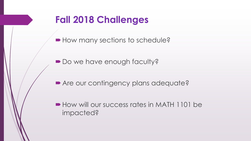## **Fall 2018 Challenges**

■ How many sections to schedule?

Do we have enough faculty?

Are our contingency plans adequate?

How will our success rates in MATH 1101 be impacted?